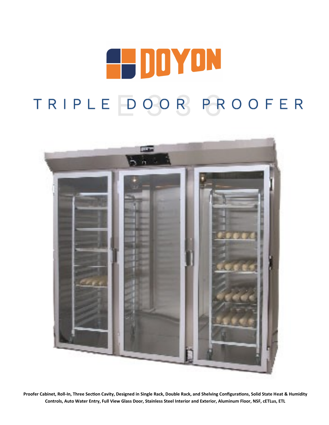# **E-DOYON** TRIPLE DOOR PROOFER



**Proofer Cabinet, Roll-In, Three Section Cavity, Designed in Single Rack, Double Rack, and Shelving Configurations, Solid State Heat & Humidity Controls, Auto Water Entry, Full View Glass Door, Stainless Steel Interior and Exterior, Aluminum Floor, NSF, cETLus, ETL**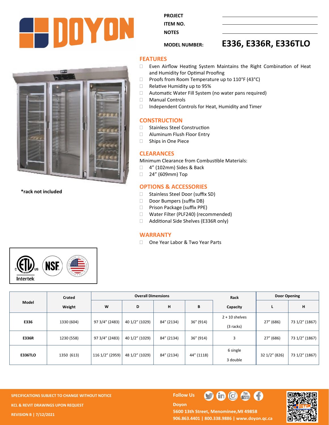

**PROJECT ITEM NO.** 

**NOTES** 

# **MODEL NUMBER: E336, E336R, E336TLO**



**\*rack not included**

## **FEATURES**

- Even Airflow Heating System Maintains the Right Combination of Heat and Humidity for Optimal Proofing
- $\Box$  Proofs from Room Temperature up to 110°F (43°C)
- □ Relative Humidity up to 95%
- □ Automatic Water Fill System (no water pans required)
- Manual Controls
	- □ Independent Controls for Heat, Humidity and Timer

#### **CONSTRUCTION**

- □ Stainless Steel Construction
- □ Aluminum Flush Floor Entry
- □ Ships in One Piece

#### **CLEARANCES**

Minimum Clearance from Combustible Materials:

- □ 4" (102mm) Sides & Back
- □ 24" (609mm) Top

### **OPTIONS & ACCESSORIES**

- □ Stainless Steel Door (suffix SD)
- Door Bumpers (suffix DB)
- □ Prison Package (suffix PPE)
- □ Water Filter (PLF240) (recommended)
- □ Additional Side Shelves (E336R only)

#### **WARRANTY**

□ One Year Labor & Two Year Parts



| Model          | Crated     | <b>Overall Dimensions</b> |                |            |            | Rack             | Door Opening  |                |
|----------------|------------|---------------------------|----------------|------------|------------|------------------|---------------|----------------|
|                | Weight     | W                         | D              | н          | B          | Capacity         |               | н              |
| E336           | 1330 (604) | 97 3/4" (2483)            | 40 1/2" (1029) | 84" (2134) | 36" (914)  | $2 + 10$ shelves | 27" (686)     | 73 1/2" (1867) |
|                |            |                           |                |            |            | $(3$ racks)      |               |                |
| <b>E336R</b>   | 1230 (558) | 97 3/4" (2483)            | 40 1/2" (1029) | 84" (2134) | 36" (914)  | 3                | 27" (686)     | 73 1/2" (1867) |
| <b>E336TLO</b> | 1350 (613) | 116 1/2" (2959)           | 48 1/2" (1029) | 84" (2134) | 44" (1118) | 6 single         | 32 1/2" (826) | 73 1/2" (1867) |
|                |            |                           |                |            |            | 3 double         |               |                |

**SPECIFICATIONS SUBJECT TO CHANGE WITHOUT NOTICE Follow Use The Follow Use The Follow Use The Follow Use The Follow Use The Follow Use The Follow Use The Follow Use The Follow Use The Follow Use The Follow Use The Follow KCL & REVIT DRAWINGS UPON REQUEST REVISION B | 7/12/2021**

O

**Doyon** 



5600 13th Street, Menominee, MI 49858 **906.863.4401 | 800.338.9886 | [www.doyon.qc.ca](http://www.doyon.qc.ca/)**

 $\bigoplus$   $\bigoplus$   $\bigoplus$